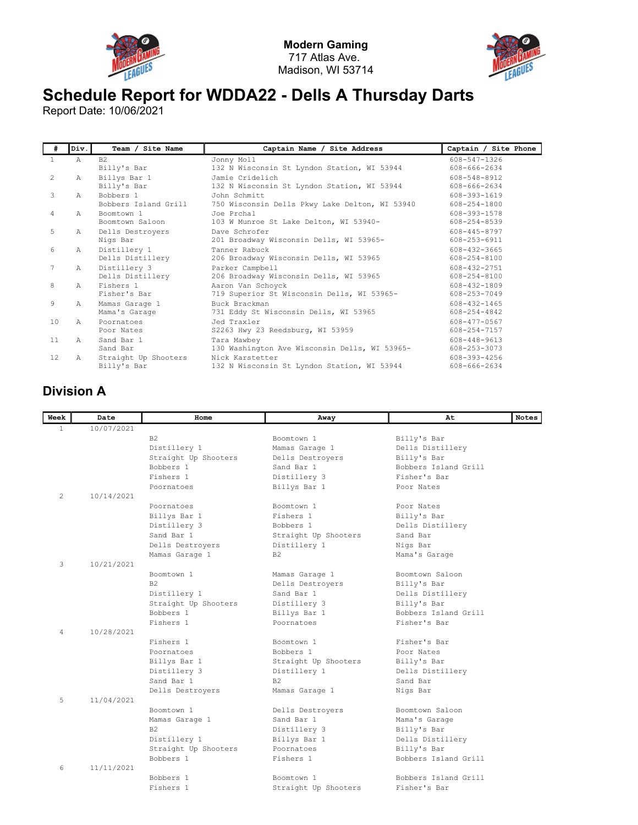



## Schedule Report for WDDA22 - Dells A Thursday Darts

Report Date: 10/06/2021

| #               | Div.         | Team / Site Name     | Captain Name / Site Address                    | Captain / Site Phone |
|-----------------|--------------|----------------------|------------------------------------------------|----------------------|
| 1.              | A            | B <sub>2</sub>       | Jonny Moll                                     | 608-547-1326         |
|                 |              | Billy's Bar          | 132 N Wisconsin St Lyndon Station, WI 53944    | 608-666-2634         |
| 2               | $\mathbb{A}$ | Billys Bar 1         | Jamie Cridelich                                | 608-548-8912         |
|                 |              | Billy's Bar          | 132 N Wisconsin St Lyndon Station, WI 53944    | 608-666-2634         |
| 3               | $\mathbb{A}$ | Bobbers 1            | John Schmitt                                   | 608-393-1619         |
|                 |              | Bobbers Island Grill | 750 Wisconsin Dells Pkwy Lake Delton, WI 53940 | 608-254-1800         |
| $\overline{4}$  | A            | Boomtown 1           | Joe Prchal                                     | 608-393-1578         |
|                 |              | Boomtown Saloon      | 103 W Munroe St Lake Delton, WI 53940-         | 608-254-8539         |
| 5               | A            | Dells Destroyers     | Dave Schrofer                                  | 608-445-8797         |
|                 |              | Nigs Bar             | 201 Broadway Wisconsin Dells, WI 53965-        | 608-253-6911         |
| 6               | A            | Distillery 1         | Tanner Rabuck                                  | 608-432-3665         |
|                 |              | Dells Distillery     | 206 Broadway Wisconsin Dells, WI 53965         | 608-254-8100         |
| 7               | $\mathbb{A}$ | Distillery 3         | Parker Campbell                                | 608-432-2751         |
|                 |              | Dells Distillery     | 206 Broadway Wisconsin Dells, WI 53965         | 608-254-8100         |
| 8               | A            | Fishers 1            | Aaron Van Schoyck                              | 608-432-1809         |
|                 |              | Fisher's Bar         | 719 Superior St Wisconsin Dells, WI 53965-     | 608-253-7049         |
| 9               | Α            | Mamas Garage 1       | Buck Brackman                                  | 608-432-1465         |
|                 |              | Mama's Garage        | 731 Eddy St Wisconsin Dells, WI 53965          | 608-254-4842         |
| 10              | $\mathbb{A}$ | Poornatoes           | Jed Traxler                                    | 608-477-0567         |
|                 |              | Poor Nates           | S2263 Hwy 23 Reedsburg, WI 53959               | 608-254-7157         |
| 11              | $\mathbb{A}$ | Sand Bar 1           | Tara Mawbey                                    | 608-448-9613         |
|                 |              | Sand Bar             | 130 Washington Ave Wisconsin Dells, WI 53965-  | 608-253-3073         |
| 12 <sup>°</sup> | A            | Straight Up Shooters | Nick Karstetter                                | 608-393-4256         |
|                 |              | Billy's Bar          | 132 N Wisconsin St Lyndon Station, WI 53944    | 608-666-2634         |

## Division A

| Week           | Date       | Home                 | Away                 | At                   | <b>Notes</b> |
|----------------|------------|----------------------|----------------------|----------------------|--------------|
| $\mathbf{1}$   | 10/07/2021 |                      |                      |                      |              |
|                |            | B <sub>2</sub>       | Boomtown 1           | Billy's Bar          |              |
|                |            | Distillery 1         | Mamas Garage 1       | Dells Distillery     |              |
|                |            | Straight Up Shooters | Dells Destroyers     | Billy's Bar          |              |
|                |            | Bobbers 1            | Sand Bar 1           | Bobbers Island Grill |              |
|                |            | Fishers 1            | Distillery 3         | Fisher's Bar         |              |
|                |            | Poornatoes           | Billys Bar 1         | Poor Nates           |              |
| $\overline{2}$ | 10/14/2021 |                      |                      |                      |              |
|                |            | Poornatoes           | Boomtown 1           | Poor Nates           |              |
|                |            | Billys Bar 1         | Fishers 1            | Billy's Bar          |              |
|                |            | Distillery 3         | Bobbers 1            | Dells Distillery     |              |
|                |            | Sand Bar 1           | Straight Up Shooters | Sand Bar             |              |
|                |            | Dells Destroyers     | Distillery 1         | Nigs Bar             |              |
|                |            | Mamas Garage 1       | B <sub>2</sub>       | Mama's Garage        |              |
| 3              | 10/21/2021 |                      |                      |                      |              |
|                |            | Boomtown 1           | Mamas Garage 1       | Boomtown Saloon      |              |
|                |            | B2                   | Dells Destroyers     | Billy's Bar          |              |
|                |            | Distillery 1         | Sand Bar 1           | Dells Distillery     |              |
|                |            | Straight Up Shooters | Distillery 3         | Billy's Bar          |              |
|                |            | Bobbers 1            | Billys Bar 1         | Bobbers Island Grill |              |
|                |            | Fishers 1            | Poornatoes           | Fisher's Bar         |              |
| $\overline{4}$ | 10/28/2021 |                      |                      |                      |              |
|                |            | Fishers 1            | Boomtown 1           | Fisher's Bar         |              |
|                |            | Poornatoes           | Bobbers 1            | Poor Nates           |              |
|                |            | Billys Bar 1         | Straight Up Shooters | Billy's Bar          |              |
|                |            | Distillery 3         | Distillery 1         | Dells Distillery     |              |
|                |            | Sand Bar 1           | B <sub>2</sub>       | Sand Bar             |              |
|                |            | Dells Destroyers     | Mamas Garage 1       | Nigs Bar             |              |
| 5              | 11/04/2021 |                      |                      |                      |              |
|                |            | Boomtown 1           | Dells Destroyers     | Boomtown Saloon      |              |
|                |            | Mamas Garage 1       | Sand Bar 1           | Mama's Garage        |              |
|                |            | B <sub>2</sub>       | Distillery 3         | Billy's Bar          |              |
|                |            | Distillery 1         | Billys Bar 1         | Dells Distillery     |              |
|                |            | Straight Up Shooters | Poornatoes           | Billy's Bar          |              |
|                |            | Bobbers 1            | Fishers 1            | Bobbers Island Grill |              |
| 6              | 11/11/2021 |                      |                      |                      |              |
|                |            | Bobbers 1            | Boomtown 1           | Bobbers Island Grill |              |
|                |            | Fishers 1            | Straight Up Shooters | Fisher's Bar         |              |
|                |            |                      |                      |                      |              |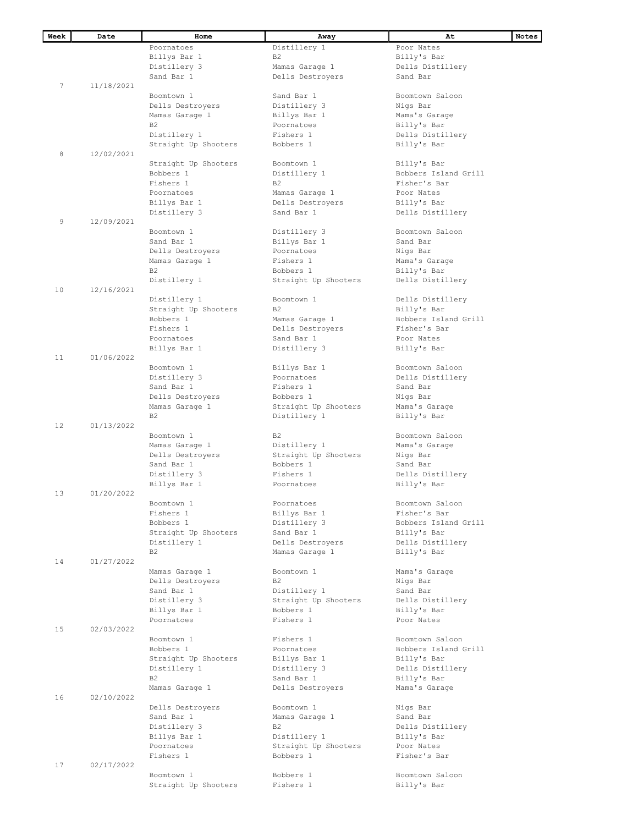| Week | Date       | Home                 | Away                 | At                   | Notes |
|------|------------|----------------------|----------------------|----------------------|-------|
|      |            | Poornatoes           | Distillery 1         | Poor Nates           |       |
|      |            | Billys Bar 1         | <b>B2</b>            | Billy's Bar          |       |
|      |            | Distillery 3         | Mamas Garage 1       | Dells Distillery     |       |
|      |            | Sand Bar 1           | Dells Destroyers     | Sand Bar             |       |
| 7    | 11/18/2021 |                      |                      |                      |       |
|      |            | Boomtown 1           | Sand Bar 1           | Boomtown Saloon      |       |
|      |            | Dells Destroyers     | Distillery 3         | Nigs Bar             |       |
|      |            | Mamas Garage 1       | Billys Bar 1         | Mama's Garage        |       |
|      |            | B <sub>2</sub>       | Poornatoes           | Billy's Bar          |       |
|      |            | Distillery 1         | Fishers 1            | Dells Distillery     |       |
|      |            | Straight Up Shooters | Bobbers 1            | Billy's Bar          |       |
| 8    | 12/02/2021 |                      |                      |                      |       |
|      |            |                      |                      |                      |       |
|      |            | Straight Up Shooters | Boomtown 1           | Billy's Bar          |       |
|      |            | Bobbers 1            | Distillery 1         | Bobbers Island Grill |       |
|      |            | Fishers 1            | B <sub>2</sub>       | Fisher's Bar         |       |
|      |            | Poornatoes           | Mamas Garage 1       | Poor Nates           |       |
|      |            | Billys Bar 1         | Dells Destroyers     | Billy's Bar          |       |
|      |            | Distillery 3         | Sand Bar 1           | Dells Distillery     |       |
| 9    | 12/09/2021 |                      |                      |                      |       |
|      |            | Boomtown 1           | Distillery 3         | Boomtown Saloon      |       |
|      |            | Sand Bar 1           | Billys Bar 1         | Sand Bar             |       |
|      |            | Dells Destroyers     | Poornatoes           | Nigs Bar             |       |
|      |            | Mamas Garage 1       | Fishers 1            | Mama's Garage        |       |
|      |            | B <sub>2</sub>       | Bobbers 1            | Billy's Bar          |       |
|      |            | Distillery 1         | Straight Up Shooters | Dells Distillery     |       |
| 10   | 12/16/2021 |                      |                      |                      |       |
|      |            | Distillery 1         | Boomtown 1           | Dells Distillery     |       |
|      |            | Straight Up Shooters | B2                   | Billy's Bar          |       |
|      |            | Bobbers 1            | Mamas Garage 1       | Bobbers Island Grill |       |
|      |            | Fishers 1            |                      | Fisher's Bar         |       |
|      |            |                      | Dells Destroyers     |                      |       |
|      |            | Poornatoes           | Sand Bar 1           | Poor Nates           |       |
|      |            | Billys Bar 1         | Distillery 3         | Billy's Bar          |       |
| 11   | 01/06/2022 |                      |                      |                      |       |
|      |            | Boomtown 1           | Billys Bar 1         | Boomtown Saloon      |       |
|      |            | Distillery 3         | Poornatoes           | Dells Distillery     |       |
|      |            | Sand Bar 1           | Fishers 1            | Sand Bar             |       |
|      |            | Dells Destroyers     | Bobbers 1            | Nigs Bar             |       |
|      |            | Mamas Garage 1       | Straight Up Shooters | Mama's Garage        |       |
|      |            | B <sub>2</sub>       | Distillery 1         | Billy's Bar          |       |
| 12   | 01/13/2022 |                      |                      |                      |       |
|      |            | Boomtown 1           | B <sub>2</sub>       | Boomtown Saloon      |       |
|      |            | Mamas Garage 1       | Distillery 1         | Mama's Garage        |       |
|      |            | Dells Destroyers     | Straight Up Shooters | Nigs Bar             |       |
|      |            | Sand Bar 1           | Bobbers 1            | Sand Bar             |       |
|      |            | Distillery 3         | Fishers 1            | Dells Distillery     |       |
|      |            | Billys Bar 1         | Poornatoes           | Billy's Bar          |       |
| 13   | 01/20/2022 |                      |                      |                      |       |
|      |            | Boomtown 1           | Poornatoes           | Boomtown Saloon      |       |
|      |            | Fishers 1            | Billys Bar 1         | Fisher's Bar         |       |
|      |            | Bobbers 1            | Distillery 3         | Bobbers Island Grill |       |
|      |            | Straight Up Shooters | Sand Bar 1           | Billy's Bar          |       |
|      |            | Distillery 1         |                      |                      |       |
|      |            |                      | Dells Destroyers     | Dells Distillery     |       |
|      |            | B <sub>2</sub>       | Mamas Garage 1       | Billy's Bar          |       |
| 14   | 01/27/2022 |                      |                      |                      |       |
|      |            | Mamas Garage 1       | Boomtown 1           | Mama's Garage        |       |
|      |            | Dells Destroyers     | B <sub>2</sub>       | Nigs Bar             |       |
|      |            | Sand Bar 1           | Distillery 1         | Sand Bar             |       |
|      |            | Distillery 3         | Straight Up Shooters | Dells Distillery     |       |
|      |            | Billys Bar 1         | Bobbers 1            | Billy's Bar          |       |
|      |            | Poornatoes           | Fishers 1            | Poor Nates           |       |
| 15   | 02/03/2022 |                      |                      |                      |       |
|      |            | Boomtown 1           | Fishers 1            | Boomtown Saloon      |       |
|      |            | Bobbers 1            | Poornatoes           | Bobbers Island Grill |       |
|      |            | Straight Up Shooters | Billys Bar 1         | Billy's Bar          |       |
|      |            | Distillery 1         | Distillery 3         | Dells Distillery     |       |
|      |            | B <sub>2</sub>       | Sand Bar 1           | Billy's Bar          |       |
|      |            | Mamas Garage 1       | Dells Destroyers     | Mama's Garage        |       |
| 16   | 02/10/2022 |                      |                      |                      |       |
|      |            | Dells Destroyers     | Boomtown 1           | Nigs Bar             |       |
|      |            | Sand Bar 1           | Mamas Garage 1       | Sand Bar             |       |
|      |            |                      |                      |                      |       |
|      |            | Distillery 3         | <b>B2</b>            | Dells Distillery     |       |
|      |            | Billys Bar 1         | Distillery 1         | Billy's Bar          |       |
|      |            | Poornatoes           | Straight Up Shooters | Poor Nates           |       |
|      |            | Fishers 1            | Bobbers 1            | Fisher's Bar         |       |
| 17   | 02/17/2022 |                      |                      |                      |       |
|      |            | Boomtown 1           | Bobbers 1            | Boomtown Saloon      |       |
|      |            | Straight Up Shooters | Fishers 1            | Billy's Bar          |       |
|      |            |                      |                      |                      |       |